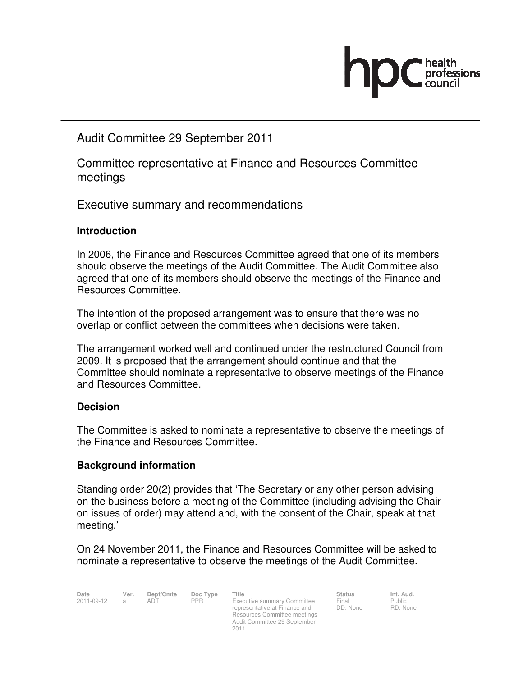

Audit Committee 29 September 2011

Committee representative at Finance and Resources Committee meetings

Executive summary and recommendations

## **Introduction**

In 2006, the Finance and Resources Committee agreed that one of its members should observe the meetings of the Audit Committee. The Audit Committee also agreed that one of its members should observe the meetings of the Finance and Resources Committee.

The intention of the proposed arrangement was to ensure that there was no overlap or conflict between the committees when decisions were taken.

The arrangement worked well and continued under the restructured Council from 2009. It is proposed that the arrangement should continue and that the Committee should nominate a representative to observe meetings of the Finance and Resources Committee.

#### **Decision**

The Committee is asked to nominate a representative to observe the meetings of the Finance and Resources Committee.

#### **Background information**

Standing order 20(2) provides that 'The Secretary or any other person advising on the business before a meeting of the Committee (including advising the Chair on issues of order) may attend and, with the consent of the Chair, speak at that meeting.'

On 24 November 2011, the Finance and Resources Committee will be asked to nominate a representative to observe the meetings of the Audit Committee.

**Date Ver. Dept/Cmte Doc Type Title Status Status Int. Aud.**<br>
2011-09-12 a ADT PPR Executive summary Committee Final Public Executive summary Committee representative at Finance and Resources Committee meetings Audit Committee 29 September 2011

Final DD: None

Public RD: None